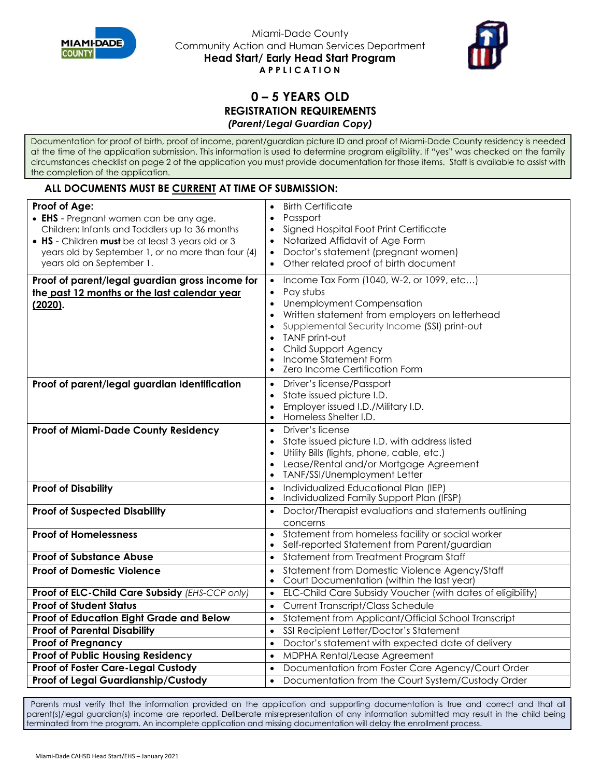



## **0 – 5 YEARS OLD REGISTRATION REQUIREMENTS** *(Parent/Legal Guardian Copy)*

Documentation for proof of birth, proof of income, parent/guardian picture ID and proof of Miami-Dade County residency is needed at the time of the application submission. This information is used to determine program eligibility. If "yes" was checked on the family circumstances checklist on page 2 of the application you must provide documentation for those items. Staff is available to assist with the completion of the application.

### **ALL DOCUMENTS MUST BE CURRENT AT TIME OF SUBMISSION:**

| • EHS - Pregnant women can be any age.<br>Signed Hospital Foot Print Certificate<br>Children: Infants and Toddlers up to 36 months<br>$\bullet$<br>Notarized Affidavit of Age Form<br>. HS - Children must be at least 3 years old or 3<br>Doctor's statement (pregnant women)<br>years old by September 1, or no more than four (4)<br>years old on September 1.<br>Other related proof of birth document<br>Proof of parent/legal guardian gross income for<br>Income Tax Form (1040, W-2, or 1099, etc)<br>$\bullet$<br>Pay stubs<br>the past 12 months or the last calendar year<br>$\bullet$<br>Unemployment Compensation<br>(2020).<br>Written statement from employers on letterhead<br>$\bullet$<br>Supplemental Security Income (SSI) print-out<br>$\bullet$<br>TANF print-out<br>$\bullet$<br>Child Support Agency<br>Income Statement Form<br>Zero Income Certification Form<br>Driver's license/Passport<br>Proof of parent/legal guardian Identification<br>$\bullet$<br>State issued picture I.D.<br>$\bullet$<br>Employer issued I.D./Military I.D.<br>$\bullet$<br>Homeless Shelter I.D.<br>$\bullet$<br>Driver's license<br>Proof of Miami-Dade County Residency<br>$\bullet$<br>State issued picture I.D. with address listed<br>Utility Bills (lights, phone, cable, etc.)<br>Lease/Rental and/or Mortgage Agreement<br>$\bullet$<br>TANF/SSI/Unemployment Letter<br>$\bullet$<br>Individualized Educational Plan (IEP)<br><b>Proof of Disability</b><br>$\bullet$<br>Individualized Family Support Plan (IFSP)<br><b>Proof of Suspected Disability</b><br>Doctor/Therapist evaluations and statements outlining<br>$\bullet$<br>concerns<br><b>Proof of Homelessness</b><br>Statement from homeless facility or social worker<br>$\bullet$<br>Self-reported Statement from Parent/guardian<br><b>Proof of Substance Abuse</b><br>Statement from Treatment Program Staff<br>$\bullet$<br>Statement from Domestic Violence Agency/Staff<br><b>Proof of Domestic Violence</b><br>$\bullet$<br>Court Documentation (within the last year)<br>$\bullet$<br>Proof of ELC-Child Care Subsidy (EHS-CCP only)<br>ELC-Child Care Subsidy Voucher (with dates of eligibility)<br>$\bullet$<br><b>Proof of Student Status</b><br><b>Current Transcript/Class Schedule</b><br>$\bullet$ | Proof of Age: | <b>Birth Certificate</b> |
|------------------------------------------------------------------------------------------------------------------------------------------------------------------------------------------------------------------------------------------------------------------------------------------------------------------------------------------------------------------------------------------------------------------------------------------------------------------------------------------------------------------------------------------------------------------------------------------------------------------------------------------------------------------------------------------------------------------------------------------------------------------------------------------------------------------------------------------------------------------------------------------------------------------------------------------------------------------------------------------------------------------------------------------------------------------------------------------------------------------------------------------------------------------------------------------------------------------------------------------------------------------------------------------------------------------------------------------------------------------------------------------------------------------------------------------------------------------------------------------------------------------------------------------------------------------------------------------------------------------------------------------------------------------------------------------------------------------------------------------------------------------------------------------------------------------------------------------------------------------------------------------------------------------------------------------------------------------------------------------------------------------------------------------------------------------------------------------------------------------------------------------------------------------------------------------------------------------------------------------------------------------------------------------------|---------------|--------------------------|
|                                                                                                                                                                                                                                                                                                                                                                                                                                                                                                                                                                                                                                                                                                                                                                                                                                                                                                                                                                                                                                                                                                                                                                                                                                                                                                                                                                                                                                                                                                                                                                                                                                                                                                                                                                                                                                                                                                                                                                                                                                                                                                                                                                                                                                                                                                |               | Passport                 |
|                                                                                                                                                                                                                                                                                                                                                                                                                                                                                                                                                                                                                                                                                                                                                                                                                                                                                                                                                                                                                                                                                                                                                                                                                                                                                                                                                                                                                                                                                                                                                                                                                                                                                                                                                                                                                                                                                                                                                                                                                                                                                                                                                                                                                                                                                                |               |                          |
|                                                                                                                                                                                                                                                                                                                                                                                                                                                                                                                                                                                                                                                                                                                                                                                                                                                                                                                                                                                                                                                                                                                                                                                                                                                                                                                                                                                                                                                                                                                                                                                                                                                                                                                                                                                                                                                                                                                                                                                                                                                                                                                                                                                                                                                                                                |               |                          |
|                                                                                                                                                                                                                                                                                                                                                                                                                                                                                                                                                                                                                                                                                                                                                                                                                                                                                                                                                                                                                                                                                                                                                                                                                                                                                                                                                                                                                                                                                                                                                                                                                                                                                                                                                                                                                                                                                                                                                                                                                                                                                                                                                                                                                                                                                                |               |                          |
|                                                                                                                                                                                                                                                                                                                                                                                                                                                                                                                                                                                                                                                                                                                                                                                                                                                                                                                                                                                                                                                                                                                                                                                                                                                                                                                                                                                                                                                                                                                                                                                                                                                                                                                                                                                                                                                                                                                                                                                                                                                                                                                                                                                                                                                                                                |               |                          |
|                                                                                                                                                                                                                                                                                                                                                                                                                                                                                                                                                                                                                                                                                                                                                                                                                                                                                                                                                                                                                                                                                                                                                                                                                                                                                                                                                                                                                                                                                                                                                                                                                                                                                                                                                                                                                                                                                                                                                                                                                                                                                                                                                                                                                                                                                                |               |                          |
|                                                                                                                                                                                                                                                                                                                                                                                                                                                                                                                                                                                                                                                                                                                                                                                                                                                                                                                                                                                                                                                                                                                                                                                                                                                                                                                                                                                                                                                                                                                                                                                                                                                                                                                                                                                                                                                                                                                                                                                                                                                                                                                                                                                                                                                                                                |               |                          |
|                                                                                                                                                                                                                                                                                                                                                                                                                                                                                                                                                                                                                                                                                                                                                                                                                                                                                                                                                                                                                                                                                                                                                                                                                                                                                                                                                                                                                                                                                                                                                                                                                                                                                                                                                                                                                                                                                                                                                                                                                                                                                                                                                                                                                                                                                                |               |                          |
|                                                                                                                                                                                                                                                                                                                                                                                                                                                                                                                                                                                                                                                                                                                                                                                                                                                                                                                                                                                                                                                                                                                                                                                                                                                                                                                                                                                                                                                                                                                                                                                                                                                                                                                                                                                                                                                                                                                                                                                                                                                                                                                                                                                                                                                                                                |               |                          |
|                                                                                                                                                                                                                                                                                                                                                                                                                                                                                                                                                                                                                                                                                                                                                                                                                                                                                                                                                                                                                                                                                                                                                                                                                                                                                                                                                                                                                                                                                                                                                                                                                                                                                                                                                                                                                                                                                                                                                                                                                                                                                                                                                                                                                                                                                                |               |                          |
|                                                                                                                                                                                                                                                                                                                                                                                                                                                                                                                                                                                                                                                                                                                                                                                                                                                                                                                                                                                                                                                                                                                                                                                                                                                                                                                                                                                                                                                                                                                                                                                                                                                                                                                                                                                                                                                                                                                                                                                                                                                                                                                                                                                                                                                                                                |               |                          |
|                                                                                                                                                                                                                                                                                                                                                                                                                                                                                                                                                                                                                                                                                                                                                                                                                                                                                                                                                                                                                                                                                                                                                                                                                                                                                                                                                                                                                                                                                                                                                                                                                                                                                                                                                                                                                                                                                                                                                                                                                                                                                                                                                                                                                                                                                                |               |                          |
|                                                                                                                                                                                                                                                                                                                                                                                                                                                                                                                                                                                                                                                                                                                                                                                                                                                                                                                                                                                                                                                                                                                                                                                                                                                                                                                                                                                                                                                                                                                                                                                                                                                                                                                                                                                                                                                                                                                                                                                                                                                                                                                                                                                                                                                                                                |               |                          |
|                                                                                                                                                                                                                                                                                                                                                                                                                                                                                                                                                                                                                                                                                                                                                                                                                                                                                                                                                                                                                                                                                                                                                                                                                                                                                                                                                                                                                                                                                                                                                                                                                                                                                                                                                                                                                                                                                                                                                                                                                                                                                                                                                                                                                                                                                                |               |                          |
|                                                                                                                                                                                                                                                                                                                                                                                                                                                                                                                                                                                                                                                                                                                                                                                                                                                                                                                                                                                                                                                                                                                                                                                                                                                                                                                                                                                                                                                                                                                                                                                                                                                                                                                                                                                                                                                                                                                                                                                                                                                                                                                                                                                                                                                                                                |               |                          |
|                                                                                                                                                                                                                                                                                                                                                                                                                                                                                                                                                                                                                                                                                                                                                                                                                                                                                                                                                                                                                                                                                                                                                                                                                                                                                                                                                                                                                                                                                                                                                                                                                                                                                                                                                                                                                                                                                                                                                                                                                                                                                                                                                                                                                                                                                                |               |                          |
|                                                                                                                                                                                                                                                                                                                                                                                                                                                                                                                                                                                                                                                                                                                                                                                                                                                                                                                                                                                                                                                                                                                                                                                                                                                                                                                                                                                                                                                                                                                                                                                                                                                                                                                                                                                                                                                                                                                                                                                                                                                                                                                                                                                                                                                                                                |               |                          |
|                                                                                                                                                                                                                                                                                                                                                                                                                                                                                                                                                                                                                                                                                                                                                                                                                                                                                                                                                                                                                                                                                                                                                                                                                                                                                                                                                                                                                                                                                                                                                                                                                                                                                                                                                                                                                                                                                                                                                                                                                                                                                                                                                                                                                                                                                                |               |                          |
|                                                                                                                                                                                                                                                                                                                                                                                                                                                                                                                                                                                                                                                                                                                                                                                                                                                                                                                                                                                                                                                                                                                                                                                                                                                                                                                                                                                                                                                                                                                                                                                                                                                                                                                                                                                                                                                                                                                                                                                                                                                                                                                                                                                                                                                                                                |               |                          |
|                                                                                                                                                                                                                                                                                                                                                                                                                                                                                                                                                                                                                                                                                                                                                                                                                                                                                                                                                                                                                                                                                                                                                                                                                                                                                                                                                                                                                                                                                                                                                                                                                                                                                                                                                                                                                                                                                                                                                                                                                                                                                                                                                                                                                                                                                                |               |                          |
|                                                                                                                                                                                                                                                                                                                                                                                                                                                                                                                                                                                                                                                                                                                                                                                                                                                                                                                                                                                                                                                                                                                                                                                                                                                                                                                                                                                                                                                                                                                                                                                                                                                                                                                                                                                                                                                                                                                                                                                                                                                                                                                                                                                                                                                                                                |               |                          |
|                                                                                                                                                                                                                                                                                                                                                                                                                                                                                                                                                                                                                                                                                                                                                                                                                                                                                                                                                                                                                                                                                                                                                                                                                                                                                                                                                                                                                                                                                                                                                                                                                                                                                                                                                                                                                                                                                                                                                                                                                                                                                                                                                                                                                                                                                                |               |                          |
|                                                                                                                                                                                                                                                                                                                                                                                                                                                                                                                                                                                                                                                                                                                                                                                                                                                                                                                                                                                                                                                                                                                                                                                                                                                                                                                                                                                                                                                                                                                                                                                                                                                                                                                                                                                                                                                                                                                                                                                                                                                                                                                                                                                                                                                                                                |               |                          |
|                                                                                                                                                                                                                                                                                                                                                                                                                                                                                                                                                                                                                                                                                                                                                                                                                                                                                                                                                                                                                                                                                                                                                                                                                                                                                                                                                                                                                                                                                                                                                                                                                                                                                                                                                                                                                                                                                                                                                                                                                                                                                                                                                                                                                                                                                                |               |                          |
|                                                                                                                                                                                                                                                                                                                                                                                                                                                                                                                                                                                                                                                                                                                                                                                                                                                                                                                                                                                                                                                                                                                                                                                                                                                                                                                                                                                                                                                                                                                                                                                                                                                                                                                                                                                                                                                                                                                                                                                                                                                                                                                                                                                                                                                                                                |               |                          |
|                                                                                                                                                                                                                                                                                                                                                                                                                                                                                                                                                                                                                                                                                                                                                                                                                                                                                                                                                                                                                                                                                                                                                                                                                                                                                                                                                                                                                                                                                                                                                                                                                                                                                                                                                                                                                                                                                                                                                                                                                                                                                                                                                                                                                                                                                                |               |                          |
|                                                                                                                                                                                                                                                                                                                                                                                                                                                                                                                                                                                                                                                                                                                                                                                                                                                                                                                                                                                                                                                                                                                                                                                                                                                                                                                                                                                                                                                                                                                                                                                                                                                                                                                                                                                                                                                                                                                                                                                                                                                                                                                                                                                                                                                                                                |               |                          |
|                                                                                                                                                                                                                                                                                                                                                                                                                                                                                                                                                                                                                                                                                                                                                                                                                                                                                                                                                                                                                                                                                                                                                                                                                                                                                                                                                                                                                                                                                                                                                                                                                                                                                                                                                                                                                                                                                                                                                                                                                                                                                                                                                                                                                                                                                                |               |                          |
|                                                                                                                                                                                                                                                                                                                                                                                                                                                                                                                                                                                                                                                                                                                                                                                                                                                                                                                                                                                                                                                                                                                                                                                                                                                                                                                                                                                                                                                                                                                                                                                                                                                                                                                                                                                                                                                                                                                                                                                                                                                                                                                                                                                                                                                                                                |               |                          |
|                                                                                                                                                                                                                                                                                                                                                                                                                                                                                                                                                                                                                                                                                                                                                                                                                                                                                                                                                                                                                                                                                                                                                                                                                                                                                                                                                                                                                                                                                                                                                                                                                                                                                                                                                                                                                                                                                                                                                                                                                                                                                                                                                                                                                                                                                                |               |                          |
|                                                                                                                                                                                                                                                                                                                                                                                                                                                                                                                                                                                                                                                                                                                                                                                                                                                                                                                                                                                                                                                                                                                                                                                                                                                                                                                                                                                                                                                                                                                                                                                                                                                                                                                                                                                                                                                                                                                                                                                                                                                                                                                                                                                                                                                                                                |               |                          |
| Proof of Education Eight Grade and Below<br>Statement from Applicant/Official School Transcript<br>$\bullet$                                                                                                                                                                                                                                                                                                                                                                                                                                                                                                                                                                                                                                                                                                                                                                                                                                                                                                                                                                                                                                                                                                                                                                                                                                                                                                                                                                                                                                                                                                                                                                                                                                                                                                                                                                                                                                                                                                                                                                                                                                                                                                                                                                                   |               |                          |
| <b>Proof of Parental Disability</b><br>SSI Recipient Letter/Doctor's Statement<br>$\bullet$                                                                                                                                                                                                                                                                                                                                                                                                                                                                                                                                                                                                                                                                                                                                                                                                                                                                                                                                                                                                                                                                                                                                                                                                                                                                                                                                                                                                                                                                                                                                                                                                                                                                                                                                                                                                                                                                                                                                                                                                                                                                                                                                                                                                    |               |                          |
| Doctor's statement with expected date of delivery<br><b>Proof of Pregnancy</b><br>$\bullet$                                                                                                                                                                                                                                                                                                                                                                                                                                                                                                                                                                                                                                                                                                                                                                                                                                                                                                                                                                                                                                                                                                                                                                                                                                                                                                                                                                                                                                                                                                                                                                                                                                                                                                                                                                                                                                                                                                                                                                                                                                                                                                                                                                                                    |               |                          |
| <b>Proof of Public Housing Residency</b><br>MDPHA Rental/Lease Agreement<br>$\bullet$                                                                                                                                                                                                                                                                                                                                                                                                                                                                                                                                                                                                                                                                                                                                                                                                                                                                                                                                                                                                                                                                                                                                                                                                                                                                                                                                                                                                                                                                                                                                                                                                                                                                                                                                                                                                                                                                                                                                                                                                                                                                                                                                                                                                          |               |                          |
| Proof of Foster Care-Legal Custody<br>Documentation from Foster Care Agency/Court Order<br>$\bullet$                                                                                                                                                                                                                                                                                                                                                                                                                                                                                                                                                                                                                                                                                                                                                                                                                                                                                                                                                                                                                                                                                                                                                                                                                                                                                                                                                                                                                                                                                                                                                                                                                                                                                                                                                                                                                                                                                                                                                                                                                                                                                                                                                                                           |               |                          |
| Proof of Legal Guardianship/Custody<br>Documentation from the Court System/Custody Order<br>$\bullet$                                                                                                                                                                                                                                                                                                                                                                                                                                                                                                                                                                                                                                                                                                                                                                                                                                                                                                                                                                                                                                                                                                                                                                                                                                                                                                                                                                                                                                                                                                                                                                                                                                                                                                                                                                                                                                                                                                                                                                                                                                                                                                                                                                                          |               |                          |

Parents must verify that the information provided on the application and supporting documentation is true and correct and that all parent(s)/legal guardian(s) income are reported. Deliberate misrepresentation of any information submitted may result in the child being terminated from the program. An incomplete application and missing documentation will delay the enrollment process.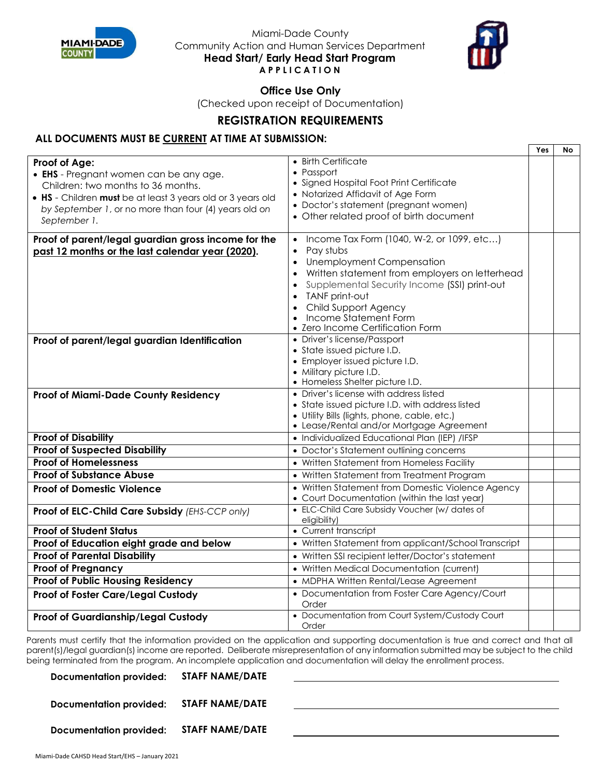



**Office Use Only**

(Checked upon receipt of Documentation)

# **REGISTRATION REQUIREMENTS**

### **ALL DOCUMENTS MUST BE CURRENT AT TIME AT SUBMISSION:**

|                                                                                                                                                                                                                                       |                                                                                                                                                                                                                                                                                                                          | Yes | No |
|---------------------------------------------------------------------------------------------------------------------------------------------------------------------------------------------------------------------------------------|--------------------------------------------------------------------------------------------------------------------------------------------------------------------------------------------------------------------------------------------------------------------------------------------------------------------------|-----|----|
| Proof of Age:<br>• EHS - Pregnant women can be any age.<br>Children: two months to 36 months.<br>• HS - Children must be at least 3 years old or 3 years old<br>by September 1, or no more than four (4) years old on<br>September 1. | • Birth Certificate<br>• Passport<br>• Signed Hospital Foot Print Certificate<br>• Notarized Affidavit of Age Form<br>• Doctor's statement (pregnant women)<br>• Other related proof of birth document                                                                                                                   |     |    |
| Proof of parent/legal guardian gross income for the<br>past 12 months or the last calendar year (2020).                                                                                                                               | • Income Tax Form (1040, W-2, or 1099, etc)<br>Pay stubs<br>$\bullet$<br>• Unemployment Compensation<br>• Written statement from employers on letterhead<br>Supplemental Security Income (SSI) print-out<br><b>TANF print-out</b><br>Child Support Agency<br>• Income Statement Form<br>• Zero Income Certification Form |     |    |
| Proof of parent/legal guardian Identification                                                                                                                                                                                         | • Driver's license/Passport<br>• State issued picture I.D.<br>• Employer issued picture I.D.<br>• Military picture I.D.<br>• Homeless Shelter picture I.D.                                                                                                                                                               |     |    |
| Proof of Miami-Dade County Residency                                                                                                                                                                                                  | • Driver's license with address listed<br>• State issued picture I.D. with address listed<br>· Utility Bills (lights, phone, cable, etc.)<br>• Lease/Rental and/or Mortgage Agreement                                                                                                                                    |     |    |
| <b>Proof of Disability</b>                                                                                                                                                                                                            | · Individualized Educational Plan (IEP) /IFSP                                                                                                                                                                                                                                                                            |     |    |
| <b>Proof of Suspected Disability</b>                                                                                                                                                                                                  | • Doctor's Statement outlining concerns                                                                                                                                                                                                                                                                                  |     |    |
| <b>Proof of Homelessness</b>                                                                                                                                                                                                          | • Written Statement from Homeless Facility                                                                                                                                                                                                                                                                               |     |    |
| <b>Proof of Substance Abuse</b>                                                                                                                                                                                                       | • Written Statement from Treatment Program                                                                                                                                                                                                                                                                               |     |    |
| <b>Proof of Domestic Violence</b>                                                                                                                                                                                                     | • Written Statement from Domestic Violence Agency<br>• Court Documentation (within the last year)                                                                                                                                                                                                                        |     |    |
| Proof of ELC-Child Care Subsidy (EHS-CCP only)                                                                                                                                                                                        | • ELC-Child Care Subsidy Voucher (w/ dates of<br>eligibility)                                                                                                                                                                                                                                                            |     |    |
| <b>Proof of Student Status</b>                                                                                                                                                                                                        | • Current transcript                                                                                                                                                                                                                                                                                                     |     |    |
| Proof of Education eight grade and below                                                                                                                                                                                              | • Written Statement from applicant/School Transcript                                                                                                                                                                                                                                                                     |     |    |
| <b>Proof of Parental Disability</b>                                                                                                                                                                                                   | • Written SSI recipient letter/Doctor's statement                                                                                                                                                                                                                                                                        |     |    |
| <b>Proof of Pregnancy</b>                                                                                                                                                                                                             | • Written Medical Documentation (current)                                                                                                                                                                                                                                                                                |     |    |
| <b>Proof of Public Housing Residency</b>                                                                                                                                                                                              | • MDPHA Written Rental/Lease Agreement                                                                                                                                                                                                                                                                                   |     |    |
| Proof of Foster Care/Legal Custody                                                                                                                                                                                                    | • Documentation from Foster Care Agency/Court<br>Order                                                                                                                                                                                                                                                                   |     |    |
| Proof of Guardianship/Legal Custody                                                                                                                                                                                                   | • Documentation from Court System/Custody Court<br>Order                                                                                                                                                                                                                                                                 |     |    |

Parents must certify that the information provided on the application and supporting documentation is true and correct and that all parent(s)/legal guardian(s) income are reported. Deliberate misrepresentation of any information submitted may be subject to the child being terminated from the program. An incomplete application and documentation will delay the enrollment process.

**Documentation provided: STAFF NAME/DATE Documentation provided: STAFF NAME/DATE Documentation provided: STAFF NAME/DATE**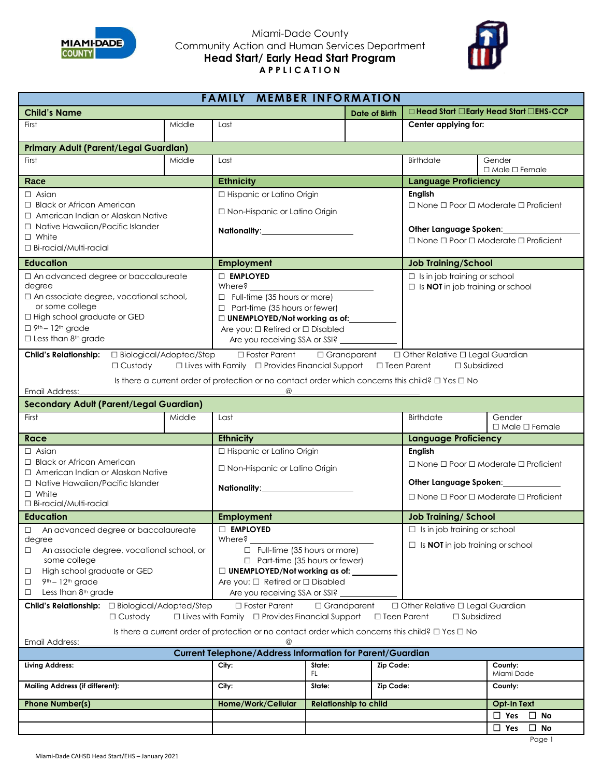



| <b>FAMILY MEMBER INFORMATION</b>                                                                                                   |                                               |                                                                                                                               |                              |                                                           |                                                                                       |                                     |  |  |  |
|------------------------------------------------------------------------------------------------------------------------------------|-----------------------------------------------|-------------------------------------------------------------------------------------------------------------------------------|------------------------------|-----------------------------------------------------------|---------------------------------------------------------------------------------------|-------------------------------------|--|--|--|
| <b>Child's Name</b>                                                                                                                |                                               | <b>Date of Birth</b>                                                                                                          |                              |                                                           | □ Head Start □ Early Head Start □ EHS-CCP                                             |                                     |  |  |  |
| First                                                                                                                              | Middle                                        | Last                                                                                                                          |                              |                                                           | Center applying for:                                                                  |                                     |  |  |  |
|                                                                                                                                    |                                               |                                                                                                                               |                              |                                                           |                                                                                       |                                     |  |  |  |
| <b>Primary Adult (Parent/Legal Guardian)</b>                                                                                       |                                               |                                                                                                                               |                              |                                                           |                                                                                       |                                     |  |  |  |
| First                                                                                                                              | Middle                                        | Last                                                                                                                          |                              |                                                           | Birthdate                                                                             | Gender<br>$\Box$ Male $\Box$ Female |  |  |  |
| Race                                                                                                                               |                                               | <b>Ethnicity</b>                                                                                                              |                              |                                                           | <b>Language Proficiency</b>                                                           |                                     |  |  |  |
| $\Box$ Asian                                                                                                                       |                                               | □ Hispanic or Latino Origin                                                                                                   |                              |                                                           | <b>English</b>                                                                        |                                     |  |  |  |
| $\Box$ Black or African American                                                                                                   |                                               | □ Non-Hispanic or Latino Origin                                                                                               |                              | $\Box$ None $\Box$ Poor $\Box$ Moderate $\Box$ Proficient |                                                                                       |                                     |  |  |  |
| □ American Indian or Alaskan Native                                                                                                |                                               |                                                                                                                               |                              |                                                           |                                                                                       |                                     |  |  |  |
| □ Native Hawaiian/Pacific Islander<br>$\Box$ White                                                                                 |                                               |                                                                                                                               |                              | Other Language Spoken:                                    |                                                                                       |                                     |  |  |  |
| □ Bi-racial/Multi-racial                                                                                                           |                                               |                                                                                                                               |                              |                                                           | $\Box$ None $\Box$ Poor $\Box$ Moderate $\Box$ Proficient                             |                                     |  |  |  |
| <b>Education</b>                                                                                                                   |                                               | <b>Employment</b>                                                                                                             |                              |                                                           | <b>Job Training/School</b>                                                            |                                     |  |  |  |
|                                                                                                                                    |                                               | <b>DEMPLOYED</b>                                                                                                              |                              |                                                           |                                                                                       |                                     |  |  |  |
| □ An advanced degree or baccalaureate<br>degree                                                                                    |                                               | Where?                                                                                                                        |                              |                                                           | $\Box$ Is in job training or school<br>$\Box$ Is <b>NOT</b> in job training or school |                                     |  |  |  |
| □ An associate degree, vocational school,                                                                                          |                                               | $\Box$ Full-time (35 hours or more)                                                                                           |                              |                                                           |                                                                                       |                                     |  |  |  |
| or some college                                                                                                                    |                                               | $\Box$ Part-time (35 hours or fewer)                                                                                          |                              |                                                           |                                                                                       |                                     |  |  |  |
| □ High school graduate or GED                                                                                                      |                                               | □ UNEMPLOYED/Not working as of:_________                                                                                      |                              |                                                           |                                                                                       |                                     |  |  |  |
| $\Box$ 9 <sup>th</sup> – 12 <sup>th</sup> grade<br>$\Box$ Less than 8 <sup>th</sup> grade                                          |                                               | Are you: □ Retired or □ Disabled                                                                                              |                              |                                                           |                                                                                       |                                     |  |  |  |
|                                                                                                                                    |                                               | Are you receiving SSA or SSI? _______________                                                                                 |                              |                                                           |                                                                                       |                                     |  |  |  |
|                                                                                                                                    |                                               | □ Foster Parent                                                                                                               |                              |                                                           | $\Box$ Grandparent $\Box$ Other Relative $\Box$ Legal Guardian                        |                                     |  |  |  |
| $\Box$ Custody                                                                                                                     |                                               | $\Box$ Lives with Family $\Box$ Provides Financial Support $\Box$ Teen Parent $\Box$ Subsidized                               |                              |                                                           |                                                                                       |                                     |  |  |  |
| Email Address:                                                                                                                     |                                               | Is there a current order of protection or no contact order which concerns this child? $\Box$ Yes $\Box$ No<br>$^{\copyright}$ |                              |                                                           |                                                                                       |                                     |  |  |  |
| <b>Secondary Adult (Parent/Legal Guardian)</b>                                                                                     |                                               |                                                                                                                               |                              |                                                           |                                                                                       |                                     |  |  |  |
| First                                                                                                                              | Middle                                        | Last                                                                                                                          |                              |                                                           | Birthdate                                                                             | Gender                              |  |  |  |
|                                                                                                                                    |                                               |                                                                                                                               |                              |                                                           |                                                                                       | $\Box$ Male $\Box$ Female           |  |  |  |
| Race                                                                                                                               |                                               | <b>Ethnicity</b>                                                                                                              |                              | <b>Language Proficiency</b>                               |                                                                                       |                                     |  |  |  |
| $\Box$ Asian                                                                                                                       | □ Hispanic or Latino Origin                   |                                                                                                                               | <b>English</b>               |                                                           |                                                                                       |                                     |  |  |  |
| □ Black or African American<br>□ American Indian or Alaskan Native                                                                 |                                               | □ Non-Hispanic or Latino Origin                                                                                               |                              |                                                           | $\Box$ None $\Box$ Poor $\Box$ Moderate $\Box$ Proficient                             |                                     |  |  |  |
| □ Native Hawaiian/Pacific Islander                                                                                                 |                                               |                                                                                                                               |                              |                                                           | Other Language Spoken: _____________                                                  |                                     |  |  |  |
| $\Box$ White                                                                                                                       |                                               |                                                                                                                               |                              | $\Box$ None $\Box$ Poor $\Box$ Moderate $\Box$ Proficient |                                                                                       |                                     |  |  |  |
| □ Bi-racial/Multi-racial                                                                                                           |                                               |                                                                                                                               |                              |                                                           |                                                                                       |                                     |  |  |  |
| <b>Education</b>                                                                                                                   |                                               | <b>Employment</b>                                                                                                             |                              |                                                           | <b>Job Training/School</b>                                                            |                                     |  |  |  |
| $\Box$ An advanced degree or baccalaureate                                                                                         | $\Box$ EMPLOYED                               |                                                                                                                               |                              | $\Box$ Is in job training or school                       |                                                                                       |                                     |  |  |  |
| degree<br>An associate degree, vocational school, or<br>$\Box$                                                                     | Where?<br>$\Box$ Full-time (35 hours or more) |                                                                                                                               |                              | $\Box$ Is <b>NOT</b> in job training or school            |                                                                                       |                                     |  |  |  |
| some college                                                                                                                       | $\Box$ Part-time (35 hours or fewer)          |                                                                                                                               |                              |                                                           |                                                                                       |                                     |  |  |  |
| High school graduate or GED<br>$\Box$                                                                                              |                                               | $\Box$ UNEMPLOYED/Not working as of:                                                                                          |                              |                                                           |                                                                                       |                                     |  |  |  |
| 9 <sup>th</sup> - 12 <sup>th</sup> grade<br>$\Box$                                                                                 |                                               | Are you: □ Retired or □ Disabled                                                                                              |                              |                                                           |                                                                                       |                                     |  |  |  |
| Less than 8 <sup>th</sup> grade<br>Are you receiving SSA or SSI?<br>$\Box$                                                         |                                               |                                                                                                                               |                              |                                                           |                                                                                       |                                     |  |  |  |
| □ Other Relative □ Legal Guardian<br>Child's Relationship: □ Biological/Adopted/Step<br>$\Box$ Foster Parent<br>$\Box$ Grandparent |                                               |                                                                                                                               |                              |                                                           |                                                                                       |                                     |  |  |  |
| $\Box$ Lives with Family $\Box$ Provides Financial Support<br>$\Box$ Custody<br>$\Box$ Teen Parent<br>$\Box$ Subsidized            |                                               |                                                                                                                               |                              |                                                           |                                                                                       |                                     |  |  |  |
| Is there a current order of protection or no contact order which concerns this child? $\square$ Yes $\square$ No                   |                                               |                                                                                                                               |                              |                                                           |                                                                                       |                                     |  |  |  |
| Email Address:<br>$^{\textregistered}$<br><b>Current Telephone/Address Information for Parent/Guardian</b>                         |                                               |                                                                                                                               |                              |                                                           |                                                                                       |                                     |  |  |  |
| <b>Living Address:</b>                                                                                                             |                                               | City:                                                                                                                         | State:                       | Zip Code:                                                 |                                                                                       | County:                             |  |  |  |
|                                                                                                                                    | FL.                                           |                                                                                                                               |                              |                                                           | Miami-Dade                                                                            |                                     |  |  |  |
| <b>Mailing Address (if different):</b>                                                                                             | City:                                         | Zip Code:<br>State:                                                                                                           |                              |                                                           | County:                                                                               |                                     |  |  |  |
| <b>Phone Number(s)</b>                                                                                                             |                                               | Home/Work/Cellular                                                                                                            | <b>Relationship to child</b> |                                                           |                                                                                       | Opt-In Text                         |  |  |  |
|                                                                                                                                    |                                               |                                                                                                                               |                              |                                                           | $\square$ Yes<br>$\square$ No                                                         |                                     |  |  |  |
|                                                                                                                                    |                                               |                                                                                                                               |                              |                                                           |                                                                                       | $\Box$ Yes<br>$\square$ No          |  |  |  |
|                                                                                                                                    |                                               |                                                                                                                               |                              |                                                           |                                                                                       | Page 1                              |  |  |  |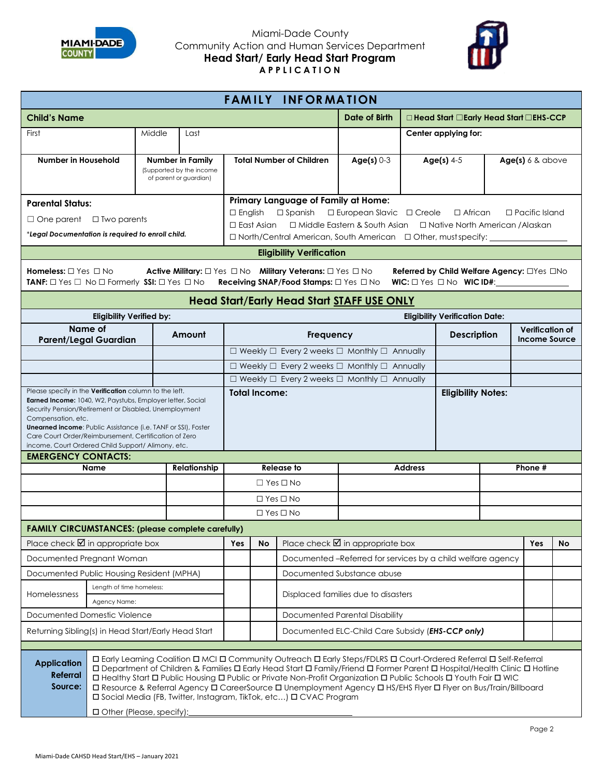



Page 2

| <b>FAMILY INFORMATION</b>                                                                                                                                                                                                                                                                                                                                                                                                                                                                                                                                                                                         |                                                                                                                                           |        |                                              |                                                                                                                                                                  |                                                                                                           |                                                                                                                                   |                                                                   |                |                                                                                  |  |                                         |    |  |
|-------------------------------------------------------------------------------------------------------------------------------------------------------------------------------------------------------------------------------------------------------------------------------------------------------------------------------------------------------------------------------------------------------------------------------------------------------------------------------------------------------------------------------------------------------------------------------------------------------------------|-------------------------------------------------------------------------------------------------------------------------------------------|--------|----------------------------------------------|------------------------------------------------------------------------------------------------------------------------------------------------------------------|-----------------------------------------------------------------------------------------------------------|-----------------------------------------------------------------------------------------------------------------------------------|-------------------------------------------------------------------|----------------|----------------------------------------------------------------------------------|--|-----------------------------------------|----|--|
| <b>Child's Name</b>                                                                                                                                                                                                                                                                                                                                                                                                                                                                                                                                                                                               |                                                                                                                                           |        |                                              |                                                                                                                                                                  |                                                                                                           | Date of Birth<br>$\Box$ Head Start $\Box$ Early Head Start $\Box$ EHS-CCP                                                         |                                                                   |                |                                                                                  |  |                                         |    |  |
| First                                                                                                                                                                                                                                                                                                                                                                                                                                                                                                                                                                                                             |                                                                                                                                           | Middle | Last                                         |                                                                                                                                                                  |                                                                                                           |                                                                                                                                   |                                                                   |                | Center applying for:                                                             |  |                                         |    |  |
|                                                                                                                                                                                                                                                                                                                                                                                                                                                                                                                                                                                                                   |                                                                                                                                           |        |                                              |                                                                                                                                                                  |                                                                                                           |                                                                                                                                   |                                                                   |                |                                                                                  |  |                                         |    |  |
| Number in Household                                                                                                                                                                                                                                                                                                                                                                                                                                                                                                                                                                                               |                                                                                                                                           |        | Number in Family<br>(Supported by the income |                                                                                                                                                                  |                                                                                                           | <b>Total Number of Children</b>                                                                                                   | Age(s) $0-3$                                                      |                | Age(s) $4-5$                                                                     |  | Age(s) 6 & above                        |    |  |
|                                                                                                                                                                                                                                                                                                                                                                                                                                                                                                                                                                                                                   |                                                                                                                                           |        | of parent or guardian)                       |                                                                                                                                                                  |                                                                                                           |                                                                                                                                   |                                                                   |                |                                                                                  |  |                                         |    |  |
|                                                                                                                                                                                                                                                                                                                                                                                                                                                                                                                                                                                                                   | Primary Language of Family at Home:<br><b>Parental Status:</b>                                                                            |        |                                              |                                                                                                                                                                  |                                                                                                           |                                                                                                                                   |                                                                   |                |                                                                                  |  |                                         |    |  |
| $\Box$ One parent $\Box$ Two parents                                                                                                                                                                                                                                                                                                                                                                                                                                                                                                                                                                              |                                                                                                                                           |        |                                              |                                                                                                                                                                  | □ European Slavic □ Creole<br>$\Box$ English<br>$\Box$ Spanish<br>$\Box$ African<br>$\Box$ Pacific Island |                                                                                                                                   |                                                                   |                |                                                                                  |  |                                         |    |  |
| *Legal Documentation is required to enroll child.                                                                                                                                                                                                                                                                                                                                                                                                                                                                                                                                                                 |                                                                                                                                           |        |                                              | □ Middle Eastern & South Asian □ Native North American / Alaskan<br>$\Box$ East Asian<br>□ North/Central American, South American □ Other, must specify: _______ |                                                                                                           |                                                                                                                                   |                                                                   |                |                                                                                  |  |                                         |    |  |
|                                                                                                                                                                                                                                                                                                                                                                                                                                                                                                                                                                                                                   |                                                                                                                                           |        |                                              |                                                                                                                                                                  |                                                                                                           | <b>Eligibility Verification</b>                                                                                                   |                                                                   |                |                                                                                  |  |                                         |    |  |
| <b>Homeless:</b> $\Box$ Yes $\Box$ No<br><b>TANF:</b> $\Box$ Yes $\Box$ No $\Box$ Formerly <b>SSI:</b> $\Box$ Yes $\Box$ No                                                                                                                                                                                                                                                                                                                                                                                                                                                                                       |                                                                                                                                           |        |                                              |                                                                                                                                                                  |                                                                                                           | Active Military: $\Box$ Yes $\Box$ No Military Veterans: $\Box$ Yes $\Box$ No<br>Receiving SNAP/Food Stamps: $\Box$ Yes $\Box$ No |                                                                   |                | Referred by Child Welfare Agency: OYes ONo<br>WIC: $\Box$ Yes $\Box$ No WIC ID#: |  |                                         |    |  |
|                                                                                                                                                                                                                                                                                                                                                                                                                                                                                                                                                                                                                   |                                                                                                                                           |        |                                              |                                                                                                                                                                  |                                                                                                           |                                                                                                                                   | <b>Head Start/Early Head Start STAFF USE ONLY</b>                 |                |                                                                                  |  |                                         |    |  |
|                                                                                                                                                                                                                                                                                                                                                                                                                                                                                                                                                                                                                   | <b>Eligibility Verified by:</b>                                                                                                           |        |                                              |                                                                                                                                                                  |                                                                                                           |                                                                                                                                   |                                                                   |                | <b>Eligibility Verification Date:</b>                                            |  |                                         |    |  |
| <b>Parent/Legal Guardian</b>                                                                                                                                                                                                                                                                                                                                                                                                                                                                                                                                                                                      | Name of                                                                                                                                   |        | Amount                                       |                                                                                                                                                                  |                                                                                                           | Frequency                                                                                                                         |                                                                   |                | <b>Description</b>                                                               |  | Verification of<br><b>Income Source</b> |    |  |
|                                                                                                                                                                                                                                                                                                                                                                                                                                                                                                                                                                                                                   |                                                                                                                                           |        |                                              |                                                                                                                                                                  |                                                                                                           |                                                                                                                                   | $\Box$ Weekly $\Box$ Every 2 weeks $\Box$ Monthly $\Box$ Annually |                |                                                                                  |  |                                         |    |  |
|                                                                                                                                                                                                                                                                                                                                                                                                                                                                                                                                                                                                                   |                                                                                                                                           |        |                                              |                                                                                                                                                                  |                                                                                                           |                                                                                                                                   | $\Box$ Weekly $\Box$ Every 2 weeks $\Box$ Monthly $\Box$ Annually |                |                                                                                  |  |                                         |    |  |
|                                                                                                                                                                                                                                                                                                                                                                                                                                                                                                                                                                                                                   |                                                                                                                                           |        |                                              |                                                                                                                                                                  |                                                                                                           |                                                                                                                                   | $\Box$ Weekly $\Box$ Every 2 weeks $\Box$ Monthly $\Box$ Annually |                |                                                                                  |  |                                         |    |  |
| <b>Eligibility Notes:</b><br><b>Total Income:</b><br>Earned Income: 1040, W2, Paystubs, Employer letter, Social<br>Security Pension/Retirement or Disabled, Unemployment<br>Compensation, etc.<br><b>Unearned income: Public Assistance (i.e. TANF or SSI), Foster</b><br>Care Court Order/Reimbursement, Certification of Zero<br>income, Court Ordered Child Support/ Alimony, etc.                                                                                                                                                                                                                             |                                                                                                                                           |        |                                              |                                                                                                                                                                  |                                                                                                           |                                                                                                                                   |                                                                   |                |                                                                                  |  |                                         |    |  |
| <b>EMERGENCY CONTACTS:</b>                                                                                                                                                                                                                                                                                                                                                                                                                                                                                                                                                                                        |                                                                                                                                           |        |                                              |                                                                                                                                                                  |                                                                                                           |                                                                                                                                   |                                                                   |                |                                                                                  |  |                                         |    |  |
|                                                                                                                                                                                                                                                                                                                                                                                                                                                                                                                                                                                                                   | <b>Name</b>                                                                                                                               |        | Relationship                                 |                                                                                                                                                                  |                                                                                                           | <b>Release to</b>                                                                                                                 |                                                                   | <b>Address</b> |                                                                                  |  | Phone #                                 |    |  |
|                                                                                                                                                                                                                                                                                                                                                                                                                                                                                                                                                                                                                   |                                                                                                                                           |        |                                              |                                                                                                                                                                  |                                                                                                           | $\Box$ Yes $\Box$ No                                                                                                              |                                                                   |                |                                                                                  |  |                                         |    |  |
|                                                                                                                                                                                                                                                                                                                                                                                                                                                                                                                                                                                                                   |                                                                                                                                           |        |                                              |                                                                                                                                                                  | $\Box$ Yes $\Box$ No<br>$\Box$ Yes $\Box$ No                                                              |                                                                                                                                   |                                                                   |                |                                                                                  |  |                                         |    |  |
| <b>FAMILY CIRCUMSTANCES: (please complete carefully)</b>                                                                                                                                                                                                                                                                                                                                                                                                                                                                                                                                                          |                                                                                                                                           |        |                                              |                                                                                                                                                                  |                                                                                                           |                                                                                                                                   |                                                                   |                |                                                                                  |  |                                         |    |  |
| Place check $\boxtimes$ in appropriate box                                                                                                                                                                                                                                                                                                                                                                                                                                                                                                                                                                        |                                                                                                                                           |        |                                              | Yes                                                                                                                                                              | No                                                                                                        |                                                                                                                                   |                                                                   |                |                                                                                  |  | Yes                                     | No |  |
|                                                                                                                                                                                                                                                                                                                                                                                                                                                                                                                                                                                                                   | Place check $\blacksquare$ in appropriate box<br>Documented Pregnant Woman<br>Documented -Referred for services by a child welfare agency |        |                                              |                                                                                                                                                                  |                                                                                                           |                                                                                                                                   |                                                                   |                |                                                                                  |  |                                         |    |  |
|                                                                                                                                                                                                                                                                                                                                                                                                                                                                                                                                                                                                                   | Documented Substance abuse<br>Documented Public Housing Resident (MPHA)                                                                   |        |                                              |                                                                                                                                                                  |                                                                                                           |                                                                                                                                   |                                                                   |                |                                                                                  |  |                                         |    |  |
|                                                                                                                                                                                                                                                                                                                                                                                                                                                                                                                                                                                                                   | Length of time homeless:                                                                                                                  |        |                                              | Displaced families due to disasters                                                                                                                              |                                                                                                           |                                                                                                                                   |                                                                   |                |                                                                                  |  |                                         |    |  |
| Homelessness                                                                                                                                                                                                                                                                                                                                                                                                                                                                                                                                                                                                      | Agency Name:                                                                                                                              |        |                                              |                                                                                                                                                                  |                                                                                                           |                                                                                                                                   |                                                                   |                |                                                                                  |  |                                         |    |  |
| Documented Domestic Violence                                                                                                                                                                                                                                                                                                                                                                                                                                                                                                                                                                                      |                                                                                                                                           |        |                                              |                                                                                                                                                                  |                                                                                                           | Documented Parental Disability                                                                                                    |                                                                   |                |                                                                                  |  |                                         |    |  |
| Documented ELC-Child Care Subsidy (EHS-CCP only)<br>Returning Sibling(s) in Head Start/Early Head Start                                                                                                                                                                                                                                                                                                                                                                                                                                                                                                           |                                                                                                                                           |        |                                              |                                                                                                                                                                  |                                                                                                           |                                                                                                                                   |                                                                   |                |                                                                                  |  |                                         |    |  |
|                                                                                                                                                                                                                                                                                                                                                                                                                                                                                                                                                                                                                   |                                                                                                                                           |        |                                              |                                                                                                                                                                  |                                                                                                           |                                                                                                                                   |                                                                   |                |                                                                                  |  |                                         |    |  |
| □ Early Learning Coalition □ MCI □ Community Outreach □ Early Steps/FDLRS □ Court-Ordered Referral □ Self-Referral<br><b>Application</b><br>□ Department of Children & Families □ Early Head Start □ Family/Friend □ Former Parent □ Hospital/Health Clinic □ Hotline<br><b>Referral</b><br>□ Healthy Start □ Public Housing □ Public or Private Non-Profit Organization □ Public Schools □ Youth Fair □ WIC<br>Source:<br>□ Resource & Referral Agency □ CareerSource □ Unemployment Agency □ HS/EHS Flyer □ Flyer on Bus/Train/Billboard<br>□ Social Media (FB, Twitter, Instagram, TikTok, etc) □ CVAC Program |                                                                                                                                           |        |                                              |                                                                                                                                                                  |                                                                                                           |                                                                                                                                   |                                                                   |                |                                                                                  |  |                                         |    |  |
|                                                                                                                                                                                                                                                                                                                                                                                                                                                                                                                                                                                                                   | □ Other (Please, specify):                                                                                                                |        |                                              |                                                                                                                                                                  |                                                                                                           |                                                                                                                                   |                                                                   |                |                                                                                  |  |                                         |    |  |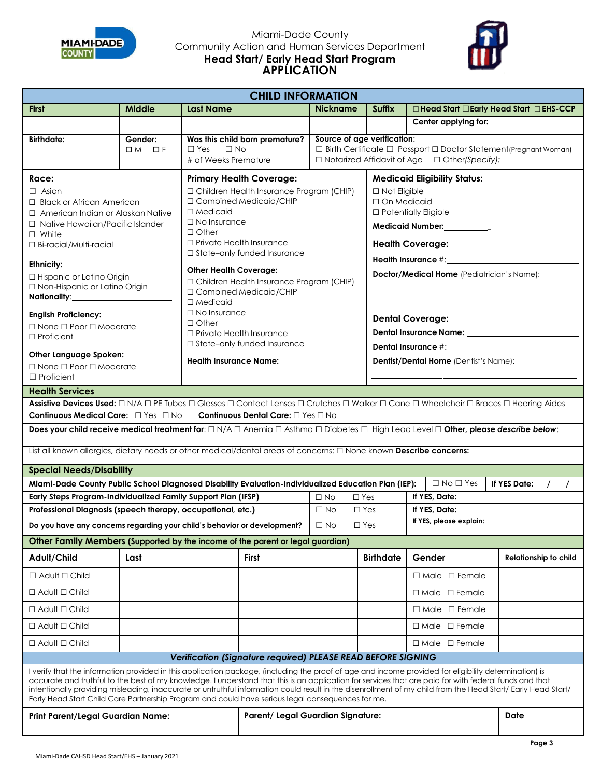



| <b>CHILD INFORMATION</b>                                                                                                                                                                                                                                                                                                                                                                                                                                                                                                 |                                                                                                                                                                                                                                                                                                                                                                                                                                                                                                              |                                                                                                                                                                                                                                                                                                                                                                                                                                                                                                                                                                                                                                   |                 |                                          |                                                                                                                                                                    |                              |  |  |
|--------------------------------------------------------------------------------------------------------------------------------------------------------------------------------------------------------------------------------------------------------------------------------------------------------------------------------------------------------------------------------------------------------------------------------------------------------------------------------------------------------------------------|--------------------------------------------------------------------------------------------------------------------------------------------------------------------------------------------------------------------------------------------------------------------------------------------------------------------------------------------------------------------------------------------------------------------------------------------------------------------------------------------------------------|-----------------------------------------------------------------------------------------------------------------------------------------------------------------------------------------------------------------------------------------------------------------------------------------------------------------------------------------------------------------------------------------------------------------------------------------------------------------------------------------------------------------------------------------------------------------------------------------------------------------------------------|-----------------|------------------------------------------|--------------------------------------------------------------------------------------------------------------------------------------------------------------------|------------------------------|--|--|
| <b>First</b>                                                                                                                                                                                                                                                                                                                                                                                                                                                                                                             | <b>Middle</b>                                                                                                                                                                                                                                                                                                                                                                                                                                                                                                | <b>Last Name</b>                                                                                                                                                                                                                                                                                                                                                                                                                                                                                                                                                                                                                  | <b>Nickname</b> | <b>Suffix</b>                            | $\Box$ Head Start $\Box$ Early Head Start $\Box$ EHS-CCP                                                                                                           |                              |  |  |
|                                                                                                                                                                                                                                                                                                                                                                                                                                                                                                                          |                                                                                                                                                                                                                                                                                                                                                                                                                                                                                                              |                                                                                                                                                                                                                                                                                                                                                                                                                                                                                                                                                                                                                                   |                 |                                          | Center applying for:                                                                                                                                               |                              |  |  |
| <b>Birthdate:</b>                                                                                                                                                                                                                                                                                                                                                                                                                                                                                                        | Gender:<br>$DM$ of                                                                                                                                                                                                                                                                                                                                                                                                                                                                                           | Was this child born premature?<br>$\Box$ Yes<br>$\Box$ No<br># of Weeks Premature                                                                                                                                                                                                                                                                                                                                                                                                                                                                                                                                                 |                 |                                          | Source of age verification:<br>$\Box$ Birth Certificate $\Box$ Passport $\Box$ Doctor Statement (Pregnant Woman)<br>□ Notarized Affidavit of Age □ Other(Specify): |                              |  |  |
| Race:<br>$\Box$ Asian<br>$\Box$ Black or African American<br>$\Box$ American Indian or Alaskan Native<br>$\Box$ Native Hawaiian/Pacific Islander<br>$\Box$ White<br>□ Bi-racial/Multi-racial<br><b>Ethnicity:</b><br>□ Hispanic or Latino Origin<br>□ Non-Hispanic or Latino Origin<br>Nationality:______________<br><b>English Proficiency:</b><br>$\Box$ None $\Box$ Poor $\Box$ Moderate<br>$\Box$ Proficient<br>Other Language Spoken:<br>$\Box$ None $\Box$ Poor $\Box$ Moderate<br>$\Box$ Proficient               | <b>Primary Health Coverage:</b><br>□ Children Health Insurance Program (CHIP)<br>□ Combined Medicaid/CHIP<br>$\Box$ Medicaid<br>$\Box$ No Insurance<br>$\Box$ Other<br>$\Box$ Private Health Insurance<br>□ State-only funded Insurance<br><b>Other Health Coverage:</b><br>□ Children Health Insurance Program (CHIP)<br>□ Combined Medicaid/CHIP<br>□ Medicaid<br>$\Box$ No Insurance<br>$\Box$ Other<br>$\Box$ Private Health Insurance<br>□ State-only funded Insurance<br><b>Health Insurance Name:</b> | <b>Medicaid Eligibility Status:</b><br>$\Box$ Not Eligible<br>□ On Medicaid<br>□ Potentially Eligible<br><b>Medicaid Number:</b><br><b>Health Coverage:</b><br>Health Insurance #:___________<br>Doctor/Medical Home (Pediatrician's Name):<br><b>Dental Coverage:</b><br>Dental Insurance Name: _____________<br>Dentist/Dental Home (Dentist's Name):                                                                                                                                                                                                                                                                           |                 |                                          |                                                                                                                                                                    |                              |  |  |
| <b>Health Services</b>                                                                                                                                                                                                                                                                                                                                                                                                                                                                                                   |                                                                                                                                                                                                                                                                                                                                                                                                                                                                                                              |                                                                                                                                                                                                                                                                                                                                                                                                                                                                                                                                                                                                                                   |                 |                                          |                                                                                                                                                                    |                              |  |  |
| Assistive Devices Used: □ N/A □ PE Tubes □ Glasses □ Contact Lenses □ Crutches □ Walker □ Cane □ Wheelchair □ Braces □ Hearing Aides<br>Continuous Dental Care: □ Yes □ No<br><b>Continuous Medical Care:</b> □ Yes □ No<br>Does your child receive medical treatment for: $\Box$ N/A $\Box$ Anemia $\Box$ Asthma $\Box$ Diabetes $\Box$ High Lead Level $\Box$ Other, please describe below:<br>List all known allergies, dietary needs or other medical/dental areas of concerns: $\Box$ None known Describe concerns: |                                                                                                                                                                                                                                                                                                                                                                                                                                                                                                              |                                                                                                                                                                                                                                                                                                                                                                                                                                                                                                                                                                                                                                   |                 |                                          |                                                                                                                                                                    |                              |  |  |
|                                                                                                                                                                                                                                                                                                                                                                                                                                                                                                                          |                                                                                                                                                                                                                                                                                                                                                                                                                                                                                                              |                                                                                                                                                                                                                                                                                                                                                                                                                                                                                                                                                                                                                                   |                 |                                          |                                                                                                                                                                    |                              |  |  |
| <b>Special Needs/Disability</b>                                                                                                                                                                                                                                                                                                                                                                                                                                                                                          |                                                                                                                                                                                                                                                                                                                                                                                                                                                                                                              |                                                                                                                                                                                                                                                                                                                                                                                                                                                                                                                                                                                                                                   |                 |                                          |                                                                                                                                                                    |                              |  |  |
| Miami-Dade County Public School Diagnosed Disability Evaluation-Individualized Education Plan (IEP):<br>$\Box$ No $\Box$ Yes<br>If YES Date:<br>$\prime$<br>$\prime$                                                                                                                                                                                                                                                                                                                                                     |                                                                                                                                                                                                                                                                                                                                                                                                                                                                                                              |                                                                                                                                                                                                                                                                                                                                                                                                                                                                                                                                                                                                                                   |                 |                                          |                                                                                                                                                                    |                              |  |  |
| Early Steps Program-Individualized Family Support Plan (IFSP)                                                                                                                                                                                                                                                                                                                                                                                                                                                            |                                                                                                                                                                                                                                                                                                                                                                                                                                                                                                              |                                                                                                                                                                                                                                                                                                                                                                                                                                                                                                                                                                                                                                   | $\Box$ No       | $\Box$ Yes                               | If YES, Date:                                                                                                                                                      |                              |  |  |
| Professional Diagnosis (speech therapy, occupational, etc.)                                                                                                                                                                                                                                                                                                                                                                                                                                                              |                                                                                                                                                                                                                                                                                                                                                                                                                                                                                                              | $\Box$ No                                                                                                                                                                                                                                                                                                                                                                                                                                                                                                                                                                                                                         | $\Box$ Yes      | If YES, Date:<br>If YES, please explain: |                                                                                                                                                                    |                              |  |  |
|                                                                                                                                                                                                                                                                                                                                                                                                                                                                                                                          |                                                                                                                                                                                                                                                                                                                                                                                                                                                                                                              | Do you have any concerns regarding your child's behavior or development?                                                                                                                                                                                                                                                                                                                                                                                                                                                                                                                                                          | $\Box$ No       | $\Box$ Yes                               |                                                                                                                                                                    |                              |  |  |
| Other Family Members (Supported by the income of the parent or legal guardian)                                                                                                                                                                                                                                                                                                                                                                                                                                           |                                                                                                                                                                                                                                                                                                                                                                                                                                                                                                              |                                                                                                                                                                                                                                                                                                                                                                                                                                                                                                                                                                                                                                   |                 |                                          |                                                                                                                                                                    |                              |  |  |
| Adult/Child                                                                                                                                                                                                                                                                                                                                                                                                                                                                                                              | Last                                                                                                                                                                                                                                                                                                                                                                                                                                                                                                         | <b>First</b>                                                                                                                                                                                                                                                                                                                                                                                                                                                                                                                                                                                                                      |                 | <b>Birthdate</b>                         | Gender                                                                                                                                                             | <b>Relationship to child</b> |  |  |
| $\Box$ Adult $\Box$ Child                                                                                                                                                                                                                                                                                                                                                                                                                                                                                                |                                                                                                                                                                                                                                                                                                                                                                                                                                                                                                              |                                                                                                                                                                                                                                                                                                                                                                                                                                                                                                                                                                                                                                   |                 |                                          | $\Box$ Male $\Box$ Female                                                                                                                                          |                              |  |  |
| $\Box$ Adult $\Box$ Child                                                                                                                                                                                                                                                                                                                                                                                                                                                                                                |                                                                                                                                                                                                                                                                                                                                                                                                                                                                                                              |                                                                                                                                                                                                                                                                                                                                                                                                                                                                                                                                                                                                                                   |                 |                                          | $\Box$ Male $\Box$ Female                                                                                                                                          |                              |  |  |
| $\Box$ Adult $\Box$ Child                                                                                                                                                                                                                                                                                                                                                                                                                                                                                                |                                                                                                                                                                                                                                                                                                                                                                                                                                                                                                              |                                                                                                                                                                                                                                                                                                                                                                                                                                                                                                                                                                                                                                   |                 |                                          | $\Box$ Male $\Box$ Female                                                                                                                                          |                              |  |  |
| $\Box$ Adult $\Box$ Child                                                                                                                                                                                                                                                                                                                                                                                                                                                                                                |                                                                                                                                                                                                                                                                                                                                                                                                                                                                                                              |                                                                                                                                                                                                                                                                                                                                                                                                                                                                                                                                                                                                                                   |                 |                                          | $\Box$ Male $\Box$ Female                                                                                                                                          |                              |  |  |
| $\Box$ Adult $\Box$ Child                                                                                                                                                                                                                                                                                                                                                                                                                                                                                                |                                                                                                                                                                                                                                                                                                                                                                                                                                                                                                              |                                                                                                                                                                                                                                                                                                                                                                                                                                                                                                                                                                                                                                   |                 |                                          | $\Box$ Male $\Box$ Female                                                                                                                                          |                              |  |  |
|                                                                                                                                                                                                                                                                                                                                                                                                                                                                                                                          | <b>Verification (Signature required) PLEASE READ BEFORE SIGNING</b>                                                                                                                                                                                                                                                                                                                                                                                                                                          |                                                                                                                                                                                                                                                                                                                                                                                                                                                                                                                                                                                                                                   |                 |                                          |                                                                                                                                                                    |                              |  |  |
| <b>Print Parent/Legal Guardian Name:</b>                                                                                                                                                                                                                                                                                                                                                                                                                                                                                 |                                                                                                                                                                                                                                                                                                                                                                                                                                                                                                              | I verify that the information provided in this application package, (including the proof of age and income provided for eligibility determination) is<br>accurate and truthful to the best of my knowledge. I understand that this is an application for services that are paid for with federal funds and that<br>intentionally providing misleading, inaccurate or untruthful information could result in the disenrollment of my child from the Head Start/ Early Head Start/<br>Early Head Start Child Care Partnership Program and could have serious legal consequences for me.<br><b>Parent/ Legal Guardian Signature:</b> |                 |                                          |                                                                                                                                                                    | Date                         |  |  |